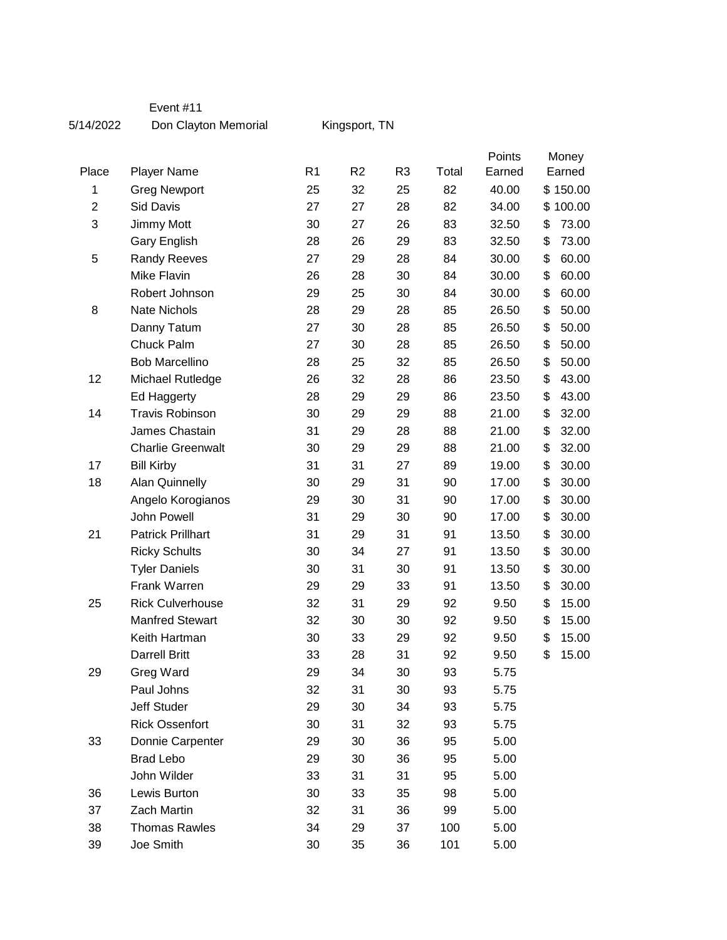## Event #11

5/14/2022 Don Clayton Memorial

Kingsport, TN

|                         |                          |                |                |                |       | Points | Money  |          |
|-------------------------|--------------------------|----------------|----------------|----------------|-------|--------|--------|----------|
| Place                   | <b>Player Name</b>       | R <sub>1</sub> | R <sub>2</sub> | R <sub>3</sub> | Total | Earned | Earned |          |
| 1                       | <b>Greg Newport</b>      | 25             | 32             | 25             | 82    | 40.00  |        | \$150.00 |
| $\overline{\mathbf{c}}$ | Sid Davis                | 27             | 27             | 28             | 82    | 34.00  |        | \$100.00 |
| 3                       | Jimmy Mott               | 30             | 27             | 26             | 83    | 32.50  | \$     | 73.00    |
|                         | Gary English             | 28             | 26             | 29             | 83    | 32.50  | \$     | 73.00    |
| 5                       | <b>Randy Reeves</b>      | 27             | 29             | 28             | 84    | 30.00  | \$     | 60.00    |
|                         | Mike Flavin              | 26             | 28             | 30             | 84    | 30.00  | \$     | 60.00    |
|                         | Robert Johnson           | 29             | 25             | 30             | 84    | 30.00  | \$     | 60.00    |
| 8                       | Nate Nichols             | 28             | 29             | 28             | 85    | 26.50  | \$     | 50.00    |
|                         | Danny Tatum              | 27             | 30             | 28             | 85    | 26.50  | \$     | 50.00    |
|                         | Chuck Palm               | 27             | 30             | 28             | 85    | 26.50  | \$     | 50.00    |
|                         | <b>Bob Marcellino</b>    | 28             | 25             | 32             | 85    | 26.50  | \$     | 50.00    |
| 12                      | Michael Rutledge         | 26             | 32             | 28             | 86    | 23.50  | \$     | 43.00    |
|                         | Ed Haggerty              | 28             | 29             | 29             | 86    | 23.50  | \$     | 43.00    |
| 14                      | <b>Travis Robinson</b>   | 30             | 29             | 29             | 88    | 21.00  | \$     | 32.00    |
|                         | James Chastain           | 31             | 29             | 28             | 88    | 21.00  | \$     | 32.00    |
|                         | <b>Charlie Greenwalt</b> | 30             | 29             | 29             | 88    | 21.00  | \$     | 32.00    |
| 17                      | <b>Bill Kirby</b>        | 31             | 31             | 27             | 89    | 19.00  | \$     | 30.00    |
| 18                      | <b>Alan Quinnelly</b>    | 30             | 29             | 31             | 90    | 17.00  | \$     | 30.00    |
|                         | Angelo Korogianos        | 29             | 30             | 31             | 90    | 17.00  | \$     | 30.00    |
|                         | John Powell              | 31             | 29             | 30             | 90    | 17.00  | \$     | 30.00    |
| 21                      | <b>Patrick Prillhart</b> | 31             | 29             | 31             | 91    | 13.50  | \$     | 30.00    |
|                         | <b>Ricky Schults</b>     | 30             | 34             | 27             | 91    | 13.50  | \$     | 30.00    |
|                         | <b>Tyler Daniels</b>     | 30             | 31             | 30             | 91    | 13.50  | \$     | 30.00    |
|                         | Frank Warren             | 29             | 29             | 33             | 91    | 13.50  | \$     | 30.00    |
| 25                      | <b>Rick Culverhouse</b>  | 32             | 31             | 29             | 92    | 9.50   | \$     | 15.00    |
|                         | <b>Manfred Stewart</b>   | 32             | 30             | 30             | 92    | 9.50   | \$     | 15.00    |
|                         | Keith Hartman            | 30             | 33             | 29             | 92    | 9.50   | \$     | 15.00    |
|                         | <b>Darrell Britt</b>     | 33             | 28             | 31             | 92    | 9.50   | \$     | 15.00    |
| 29                      | Greg Ward                | 29             | 34             | 30             | 93    | 5.75   |        |          |
|                         | Paul Johns               | 32             | 31             | 30             | 93    | 5.75   |        |          |
|                         | Jeff Studer              | 29             | 30             | 34             | 93    | 5.75   |        |          |
|                         | <b>Rick Ossenfort</b>    | 30             | 31             | 32             | 93    | 5.75   |        |          |
| 33                      | Donnie Carpenter         | 29             | 30             | 36             | 95    | 5.00   |        |          |
|                         | <b>Brad Lebo</b>         | 29             | 30             | 36             | 95    | 5.00   |        |          |
|                         | John Wilder              | 33             | 31             | 31             | 95    | 5.00   |        |          |
| 36                      | Lewis Burton             | 30             | 33             | 35             | 98    | 5.00   |        |          |
| 37                      | Zach Martin              | 32             | 31             | 36             | 99    | 5.00   |        |          |
| 38                      | <b>Thomas Rawles</b>     | 34             | 29             | 37             | 100   | 5.00   |        |          |
| 39                      | Joe Smith                | 30             | 35             | 36             | 101   | 5.00   |        |          |